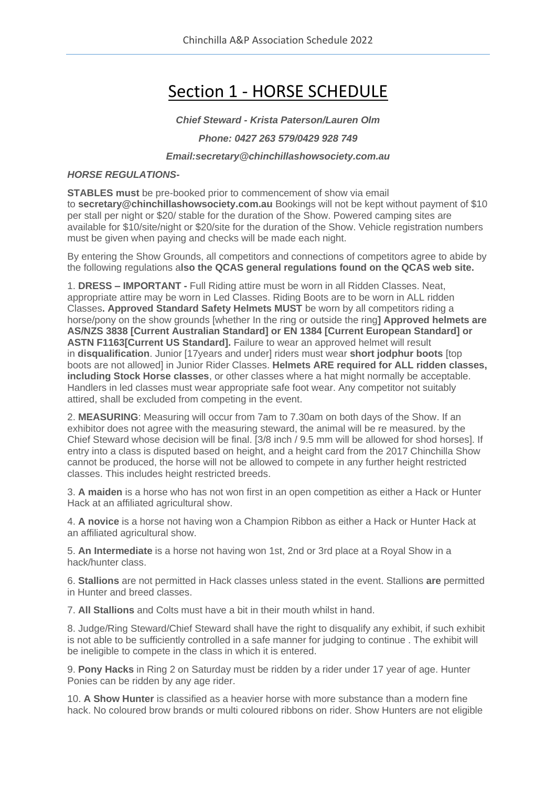# Section 1 - HORSE SCHEDULE

*Chief Steward - Krista Paterson/Lauren Olm*

#### *Phone: 0427 263 579/0429 928 749*

*Email:secretary@chinchillashowsociety.com.au*

#### *HORSE REGULATIONS-*

**STABLES must** be pre-booked prior to commencement of show via email to **secretary@chinchillashowsociety.com.au** Bookings will not be kept without payment of \$10 per stall per night or \$20/ stable for the duration of the Show. Powered camping sites are available for \$10/site/night or \$20/site for the duration of the Show. Vehicle registration numbers must be given when paying and checks will be made each night.

By entering the Show Grounds, all competitors and connections of competitors agree to abide by the following regulations a**lso the QCAS general regulations found on the QCAS web site.**

1. **DRESS – IMPORTANT -** Full Riding attire must be worn in all Ridden Classes. Neat, appropriate attire may be worn in Led Classes. Riding Boots are to be worn in ALL ridden Classes**. Approved Standard Safety Helmets MUST** be worn by all competitors riding a horse/pony on the show grounds [whether In the ring or outside the ring**] Approved helmets are AS/NZS 3838 [Current Australian Standard] or EN 1384 [Current European Standard] or ASTN F1163[Current US Standard].** Failure to wear an approved helmet will result in **disqualification**. Junior [17years and under] riders must wear **short jodphur boots** [top boots are not allowed] in Junior Rider Classes. **Helmets ARE required for ALL ridden classes, including Stock Horse classes**, or other classes where a hat might normally be acceptable. Handlers in led classes must wear appropriate safe foot wear. Any competitor not suitably attired, shall be excluded from competing in the event.

2. **MEASURING**: Measuring will occur from 7am to 7.30am on both days of the Show. If an exhibitor does not agree with the measuring steward, the animal will be re measured. by the Chief Steward whose decision will be final. [3/8 inch / 9.5 mm will be allowed for shod horses]. If entry into a class is disputed based on height, and a height card from the 2017 Chinchilla Show cannot be produced, the horse will not be allowed to compete in any further height restricted classes. This includes height restricted breeds.

3. **A maiden** is a horse who has not won first in an open competition as either a Hack or Hunter Hack at an affiliated agricultural show.

4. **A novice** is a horse not having won a Champion Ribbon as either a Hack or Hunter Hack at an affiliated agricultural show.

5. **An Intermediate** is a horse not having won 1st, 2nd or 3rd place at a Royal Show in a hack/hunter class.

6. **Stallions** are not permitted in Hack classes unless stated in the event. Stallions **are** permitted in Hunter and breed classes.

7. **All Stallions** and Colts must have a bit in their mouth whilst in hand.

8. Judge/Ring Steward/Chief Steward shall have the right to disqualify any exhibit, if such exhibit is not able to be sufficiently controlled in a safe manner for judging to continue . The exhibit will be ineligible to compete in the class in which it is entered.

9. **Pony Hacks** in Ring 2 on Saturday must be ridden by a rider under 17 year of age. Hunter Ponies can be ridden by any age rider.

10. **A Show Hunter** is classified as a heavier horse with more substance than a modern fine hack. No coloured brow brands or multi coloured ribbons on rider. Show Hunters are not eligible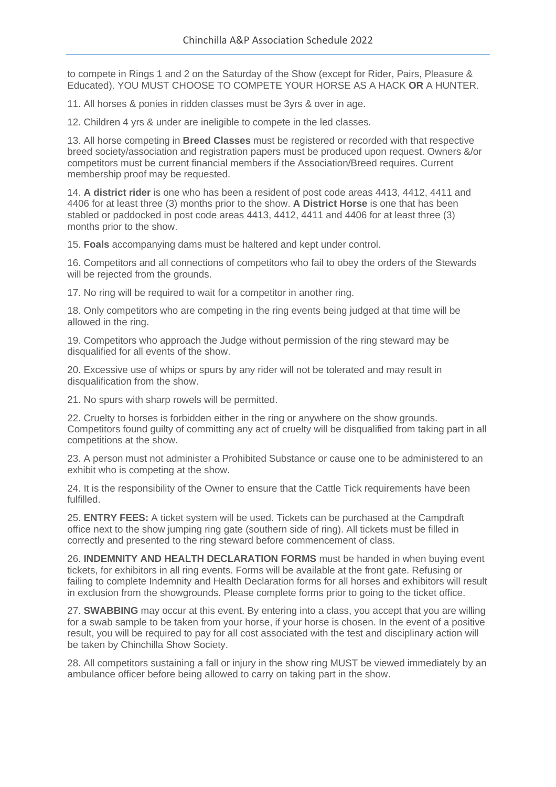to compete in Rings 1 and 2 on the Saturday of the Show (except for Rider, Pairs, Pleasure & Educated). YOU MUST CHOOSE TO COMPETE YOUR HORSE AS A HACK **OR** A HUNTER.

11. All horses & ponies in ridden classes must be 3yrs & over in age.

12. Children 4 yrs & under are ineligible to compete in the led classes.

13. All horse competing in **Breed Classes** must be registered or recorded with that respective breed society/association and registration papers must be produced upon request. Owners &/or competitors must be current financial members if the Association/Breed requires. Current membership proof may be requested.

14. **A district rider** is one who has been a resident of post code areas 4413, 4412, 4411 and 4406 for at least three (3) months prior to the show. **A District Horse** is one that has been stabled or paddocked in post code areas 4413, 4412, 4411 and 4406 for at least three (3) months prior to the show.

15. **Foals** accompanying dams must be haltered and kept under control.

16. Competitors and all connections of competitors who fail to obey the orders of the Stewards will be rejected from the grounds.

17. No ring will be required to wait for a competitor in another ring.

18. Only competitors who are competing in the ring events being judged at that time will be allowed in the ring.

19. Competitors who approach the Judge without permission of the ring steward may be disqualified for all events of the show.

20. Excessive use of whips or spurs by any rider will not be tolerated and may result in disqualification from the show.

21. No spurs with sharp rowels will be permitted.

22. Cruelty to horses is forbidden either in the ring or anywhere on the show grounds. Competitors found guilty of committing any act of cruelty will be disqualified from taking part in all competitions at the show.

23. A person must not administer a Prohibited Substance or cause one to be administered to an exhibit who is competing at the show.

24. It is the responsibility of the Owner to ensure that the Cattle Tick requirements have been fulfilled.

25. **ENTRY FEES:** A ticket system will be used. Tickets can be purchased at the Campdraft office next to the show jumping ring gate (southern side of ring). All tickets must be filled in correctly and presented to the ring steward before commencement of class.

26. **INDEMNITY AND HEALTH DECLARATION FORMS** must be handed in when buying event tickets, for exhibitors in all ring events. Forms will be available at the front gate. Refusing or failing to complete Indemnity and Health Declaration forms for all horses and exhibitors will result in exclusion from the showgrounds. Please complete forms prior to going to the ticket office.

27. **SWABBING** may occur at this event. By entering into a class, you accept that you are willing for a swab sample to be taken from your horse, if your horse is chosen. In the event of a positive result, you will be required to pay for all cost associated with the test and disciplinary action will be taken by Chinchilla Show Society.

28. All competitors sustaining a fall or injury in the show ring MUST be viewed immediately by an ambulance officer before being allowed to carry on taking part in the show.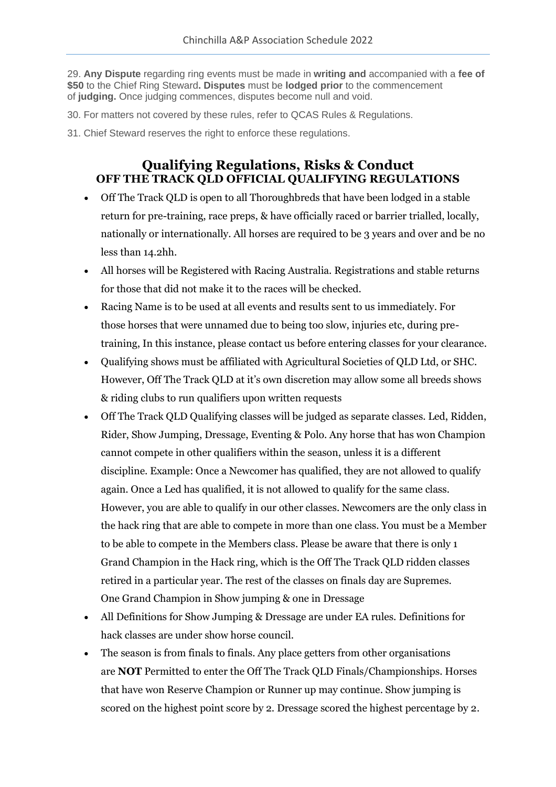29. **Any Dispute** regarding ring events must be made in **writing and** accompanied with a **fee of \$50** to the Chief Ring Steward**. Disputes** must be **lodged prior** to the commencement of **judging.** Once judging commences, disputes become null and void.

- 30. For matters not covered by these rules, refer to QCAS Rules & Regulations.
- 31. Chief Steward reserves the right to enforce these regulations.

## **Qualifying Regulations, Risks & Conduct OFF THE TRACK QLD OFFICIAL QUALIFYING REGULATIONS**

- Off The Track QLD is open to all Thoroughbreds that have been lodged in a stable return for pre-training, race preps, & have officially raced or barrier trialled, locally, nationally or internationally. All horses are required to be 3 years and over and be no less than 14.2hh.
- All horses will be Registered with Racing Australia. Registrations and stable returns for those that did not make it to the races will be checked.
- Racing Name is to be used at all events and results sent to us immediately. For those horses that were unnamed due to being too slow, injuries etc, during pretraining, In this instance, please contact us before entering classes for your clearance.
- Qualifying shows must be affiliated with Agricultural Societies of QLD Ltd, or SHC. However, Off The Track QLD at it's own discretion may allow some all breeds shows & riding clubs to run qualifiers upon written requests
- Off The Track QLD Qualifying classes will be judged as separate classes. Led, Ridden, Rider, Show Jumping, Dressage, Eventing & Polo. Any horse that has won Champion cannot compete in other qualifiers within the season, unless it is a different discipline. Example: Once a Newcomer has qualified, they are not allowed to qualify again. Once a Led has qualified, it is not allowed to qualify for the same class. However, you are able to qualify in our other classes. Newcomers are the only class in the hack ring that are able to compete in more than one class. You must be a Member to be able to compete in the Members class. Please be aware that there is only 1 Grand Champion in the Hack ring, which is the Off The Track QLD ridden classes retired in a particular year. The rest of the classes on finals day are Supremes. One Grand Champion in Show jumping & one in Dressage
- All Definitions for Show Jumping & Dressage are under EA rules. Definitions for hack classes are under show horse council.
- The season is from finals to finals. Any place getters from other organisations are **NOT** Permitted to enter the Off The Track QLD Finals/Championships. Horses that have won Reserve Champion or Runner up may continue. Show jumping is scored on the highest point score by 2. Dressage scored the highest percentage by 2.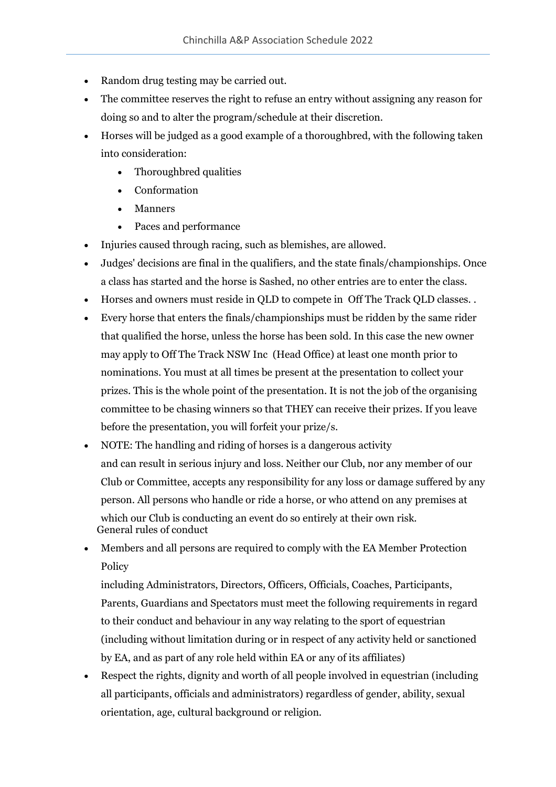- Random drug testing may be carried out.
- The committee reserves the right to refuse an entry without assigning any reason for doing so and to alter the program/schedule at their discretion.
- Horses will be judged as a good example of a thoroughbred, with the following taken into consideration:
	- Thoroughbred qualities
	- Conformation
	- **Manners**
	- Paces and performance
- Injuries caused through racing, such as blemishes, are allowed.
- Judges' decisions are final in the qualifiers, and the state finals/championships. Once a class has started and the horse is Sashed, no other entries are to enter the class.
- Horses and owners must reside in QLD to compete in Off The Track QLD classes. .
- Every horse that enters the finals/championships must be ridden by the same rider that qualified the horse, unless the horse has been sold. In this case the new owner may apply to Off The Track NSW Inc (Head Office) at least one month prior to nominations. You must at all times be present at the presentation to collect your prizes. This is the whole point of the presentation. It is not the job of the organising committee to be chasing winners so that THEY can receive their prizes. If you leave before the presentation, you will forfeit your prize/s.
- NOTE: The handling and riding of horses is a dangerous activity and can result in serious injury and loss. Neither our Club, nor any member of our Club or Committee, accepts any responsibility for any loss or damage suffered by any person. All persons who handle or ride a horse, or who attend on any premises at which our Club is conducting an event do so entirely at their own risk. General rules of conduct
- Members and all persons are required to comply with the EA Member Protection Policy

including Administrators, Directors, Officers, Officials, Coaches, Participants, Parents, Guardians and Spectators must meet the following requirements in regard to their conduct and behaviour in any way relating to the sport of equestrian (including without limitation during or in respect of any activity held or sanctioned by EA, and as part of any role held within EA or any of its affiliates)

• Respect the rights, dignity and worth of all people involved in equestrian (including all participants, officials and administrators) regardless of gender, ability, sexual orientation, age, cultural background or religion.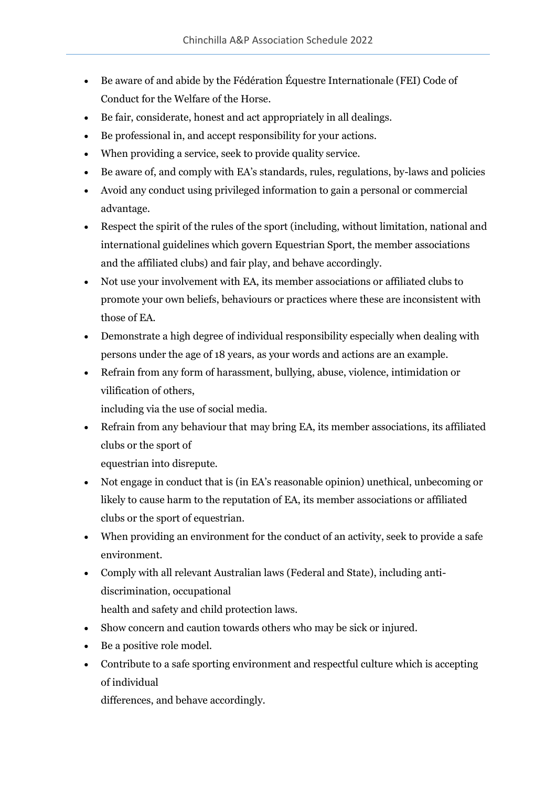- Be aware of and abide by the Fédération Équestre Internationale (FEI) Code of Conduct for the Welfare of the Horse.
- Be fair, considerate, honest and act appropriately in all dealings.
- Be professional in, and accept responsibility for your actions.
- When providing a service, seek to provide quality service.
- Be aware of, and comply with EA's standards, rules, regulations, by-laws and policies
- Avoid any conduct using privileged information to gain a personal or commercial advantage.
- Respect the spirit of the rules of the sport (including, without limitation, national and international guidelines which govern Equestrian Sport, the member associations and the affiliated clubs) and fair play, and behave accordingly.
- Not use your involvement with EA, its member associations or affiliated clubs to promote your own beliefs, behaviours or practices where these are inconsistent with those of EA.
- Demonstrate a high degree of individual responsibility especially when dealing with persons under the age of 18 years, as your words and actions are an example.
- Refrain from any form of harassment, bullying, abuse, violence, intimidation or vilification of others,

including via the use of social media.

• Refrain from any behaviour that may bring EA, its member associations, its affiliated clubs or the sport of

equestrian into disrepute.

- Not engage in conduct that is (in EA's reasonable opinion) unethical, unbecoming or likely to cause harm to the reputation of EA, its member associations or affiliated clubs or the sport of equestrian.
- When providing an environment for the conduct of an activity, seek to provide a safe environment.
- Comply with all relevant Australian laws (Federal and State), including antidiscrimination, occupational health and safety and child protection laws.
- Show concern and caution towards others who may be sick or injured.
- Be a positive role model.
- Contribute to a safe sporting environment and respectful culture which is accepting of individual

differences, and behave accordingly.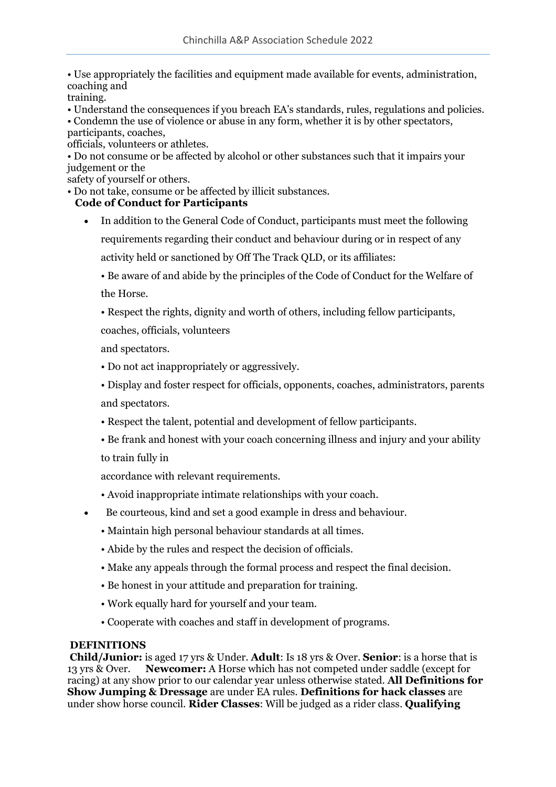• Use appropriately the facilities and equipment made available for events, administration, coaching and

training.

• Understand the consequences if you breach EA's standards, rules, regulations and policies.

• Condemn the use of violence or abuse in any form, whether it is by other spectators,

participants, coaches,

officials, volunteers or athletes.

• Do not consume or be affected by alcohol or other substances such that it impairs your judgement or the

safety of yourself or others.

• Do not take, consume or be affected by illicit substances.

## **Code of Conduct for Participants**

• In addition to the General Code of Conduct, participants must meet the following requirements regarding their conduct and behaviour during or in respect of any activity held or sanctioned by Off The Track QLD, or its affiliates:

• Be aware of and abide by the principles of the Code of Conduct for the Welfare of the Horse.

• Respect the rights, dignity and worth of others, including fellow participants,

coaches, officials, volunteers

and spectators.

• Do not act inappropriately or aggressively.

• Display and foster respect for officials, opponents, coaches, administrators, parents and spectators.

- Respect the talent, potential and development of fellow participants.
- Be frank and honest with your coach concerning illness and injury and your ability

to train fully in

accordance with relevant requirements.

- Avoid inappropriate intimate relationships with your coach.
- Be courteous, kind and set a good example in dress and behaviour.
	- Maintain high personal behaviour standards at all times.
	- Abide by the rules and respect the decision of officials.
	- Make any appeals through the formal process and respect the final decision.
	- Be honest in your attitude and preparation for training.
	- Work equally hard for yourself and your team.
	- Cooperate with coaches and staff in development of programs.

## **DEFINITIONS**

**Child/Junior:** is aged 17 yrs & Under. **Adult**: Is 18 yrs & Over. **Senior**: is a horse that is 13 yrs & Over. **Newcomer:** A Horse which has not competed under saddle (except for racing) at any show prior to our calendar year unless otherwise stated. **All Definitions for Show Jumping & Dressage** are under EA rules. **Definitions for hack classes** are under show horse council. **Rider Classes**: Will be judged as a rider class. **Qualifying**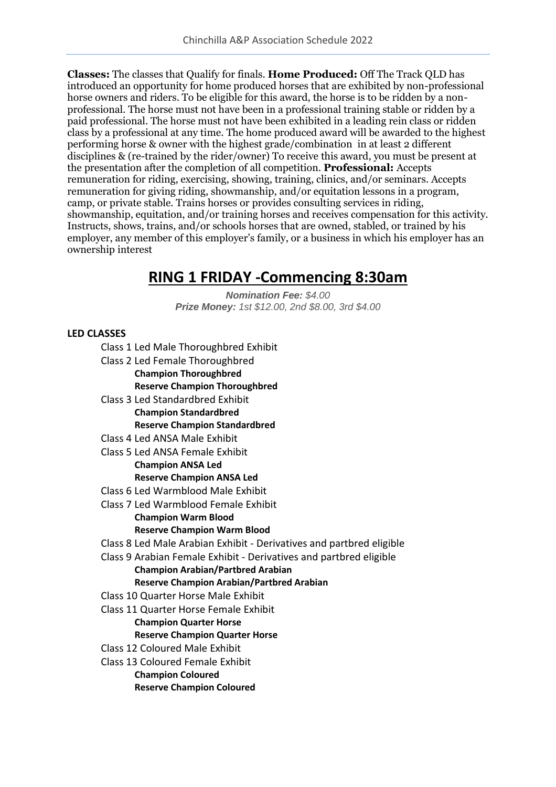**Classes:** The classes that Qualify for finals. **Home Produced:** Off The Track QLD has introduced an opportunity for home produced horses that are exhibited by non-professional horse owners and riders. To be eligible for this award, the horse is to be ridden by a nonprofessional. The horse must not have been in a professional training stable or ridden by a paid professional. The horse must not have been exhibited in a leading rein class or ridden class by a professional at any time. The home produced award will be awarded to the highest performing horse & owner with the highest grade/combination in at least 2 different disciplines & (re-trained by the rider/owner) To receive this award, you must be present at the presentation after the completion of all competition. **Professional:** Accepts remuneration for riding, exercising, showing, training, clinics, and/or seminars. Accepts remuneration for giving riding, showmanship, and/or equitation lessons in a program, camp, or private stable. Trains horses or provides consulting services in riding, showmanship, equitation, and/or training horses and receives compensation for this activity. Instructs, shows, trains, and/or schools horses that are owned, stabled, or trained by his employer, any member of this employer's family, or a business in which his employer has an ownership interest

## **RING 1 FRIDAY -Commencing 8:30am**

*Nomination Fee: \$4.00 Prize Money: 1st \$12.00, 2nd \$8.00, 3rd \$4.00*

## **LED CLASSES**

- Class 1 Led Male Thoroughbred Exhibit
- Class 2 Led Female Thoroughbred **Champion Thoroughbred Reserve Champion Thoroughbred**
- Class 3 Led Standardbred Exhibit **Champion Standardbred Reserve Champion Standardbred**
- Class 4 Led ANSA Male Exhibit
- Class 5 Led ANSA Female Exhibit **Champion ANSA Led**

## **Reserve Champion ANSA Led**

- Class 6 Led Warmblood Male Exhibit
- Class 7 Led Warmblood Female Exhibit

## **Champion Warm Blood**

#### **Reserve Champion Warm Blood**

- Class 8 Led Male Arabian Exhibit Derivatives and partbred eligible
- Class 9 Arabian Female Exhibit Derivatives and partbred eligible

#### **Champion Arabian/Partbred Arabian**

## **Reserve Champion Arabian/Partbred Arabian**

- Class 10 Quarter Horse Male Exhibit
- Class 11 Quarter Horse Female Exhibit

## **Champion Quarter Horse**

## **Reserve Champion Quarter Horse**

- Class 12 Coloured Male Exhibit
- Class 13 Coloured Female Exhibit
	- **Champion Coloured**
	- **Reserve Champion Coloured**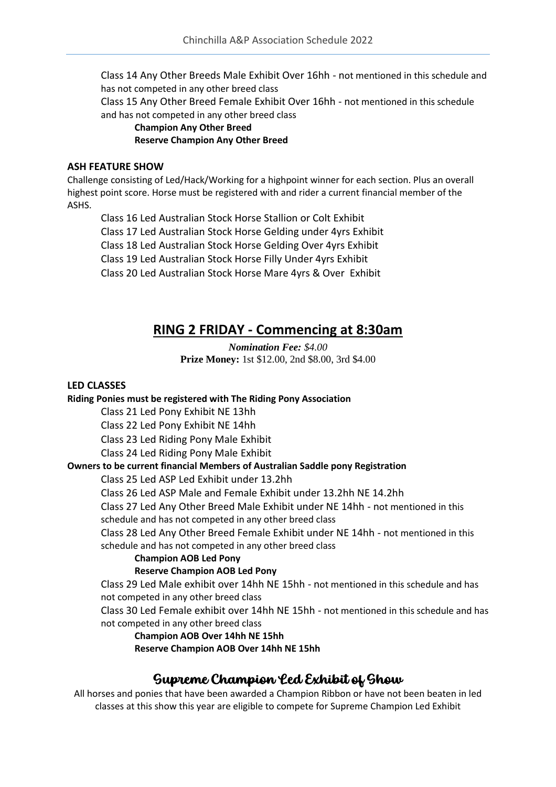Class 14 Any Other Breeds Male Exhibit Over 16hh - not mentioned in this schedule and has not competed in any other breed class

Class 15 Any Other Breed Female Exhibit Over 16hh - not mentioned in this schedule and has not competed in any other breed class

#### **Champion Any Other Breed Reserve Champion Any Other Breed**

#### **ASH FEATURE SHOW**

Challenge consisting of Led/Hack/Working for a highpoint winner for each section. Plus an overall highest point score. Horse must be registered with and rider a current financial member of the ASHS.

Class 16 Led Australian Stock Horse Stallion or Colt Exhibit Class 17 Led Australian Stock Horse Gelding under 4yrs Exhibit Class 18 Led Australian Stock Horse Gelding Over 4yrs Exhibit Class 19 Led Australian Stock Horse Filly Under 4yrs Exhibit Class 20 Led Australian Stock Horse Mare 4yrs & Over Exhibit

## **RING 2 FRIDAY - Commencing at 8:30am**

*Nomination Fee: \$4.00* **Prize Money:** 1st \$12.00, 2nd \$8.00, 3rd \$4.00

### **LED CLASSES**

## **Riding Ponies must be registered with The Riding Pony Association**

Class 21 Led Pony Exhibit NE 13hh

Class 22 Led Pony Exhibit NE 14hh

Class 23 Led Riding Pony Male Exhibit

Class 24 Led Riding Pony Male Exhibit

## **Owners to be current financial Members of Australian Saddle pony Registration**

Class 25 Led ASP Led Exhibit under 13.2hh

Class 26 Led ASP Male and Female Exhibit under 13.2hh NE 14.2hh

Class 27 Led Any Other Breed Male Exhibit under NE 14hh - not mentioned in this schedule and has not competed in any other breed class

Class 28 Led Any Other Breed Female Exhibit under NE 14hh - not mentioned in this schedule and has not competed in any other breed class

**Champion AOB Led Pony**

## **Reserve Champion AOB Led Pony**

Class 29 Led Male exhibit over 14hh NE 15hh - not mentioned in this schedule and has not competed in any other breed class

Class 30 Led Female exhibit over 14hh NE 15hh - not mentioned in this schedule and has not competed in any other breed class

**Champion AOB Over 14hh NE 15hh**

**Reserve Champion AOB Over 14hh NE 15hh**

## Supreme Champion Led Exhibit of Show

All horses and ponies that have been awarded a Champion Ribbon or have not been beaten in led classes at this show this year are eligible to compete for Supreme Champion Led Exhibit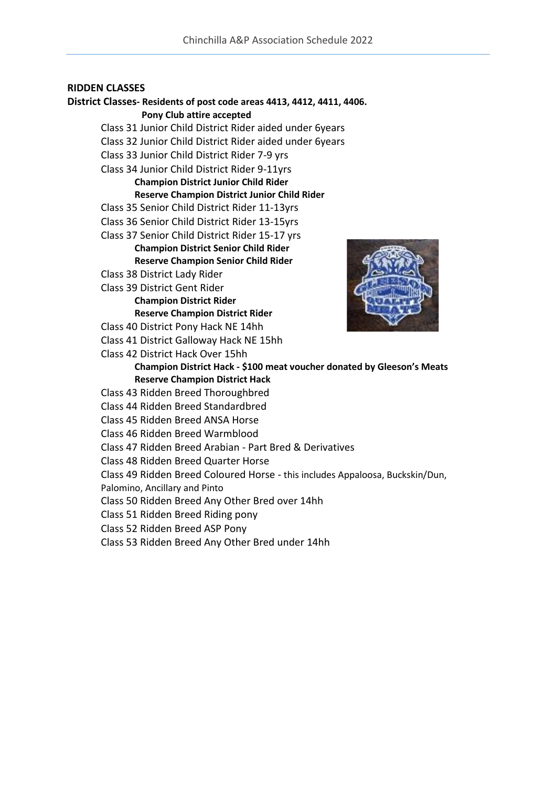#### **RIDDEN CLASSES**

## **District Classes- Residents of post code areas 4413, 4412, 4411, 4406. Pony Club attire accepted**  Class 31 Junior Child District Rider aided under 6years Class 32 Junior Child District Rider aided under 6years Class 33 Junior Child District Rider 7-9 yrs Class 34 Junior Child District Rider 9-11yrs **Champion District Junior Child Rider Reserve Champion District Junior Child Rider**

Class 35 Senior Child District Rider 11-13yrs

- Class 36 Senior Child District Rider 13-15yrs
- Class 37 Senior Child District Rider 15-17 yrs

## **Champion District Senior Child Rider**

**Reserve Champion Senior Child Rider**

- Class 38 District Lady Rider
- Class 39 District Gent Rider

## **Champion District Rider**

**Reserve Champion District Rider**

- Class 40 District Pony Hack NE 14hh
- Class 41 District Galloway Hack NE 15hh
- Class 42 District Hack Over 15hh



### **Champion District Hack - \$100 meat voucher donated by Gleeson's Meats Reserve Champion District Hack**

- Class 43 Ridden Breed Thoroughbred
- Class 44 Ridden Breed Standardbred
- Class 45 Ridden Breed ANSA Horse
- Class 46 Ridden Breed Warmblood
- Class 47 Ridden Breed Arabian Part Bred & Derivatives
- Class 48 Ridden Breed Quarter Horse
- Class 49 Ridden Breed Coloured Horse this includes Appaloosa, Buckskin/Dun,

Palomino, Ancillary and Pinto

Class 50 Ridden Breed Any Other Bred over 14hh

- Class 51 Ridden Breed Riding pony
- Class 52 Ridden Breed ASP Pony
- Class 53 Ridden Breed Any Other Bred under 14hh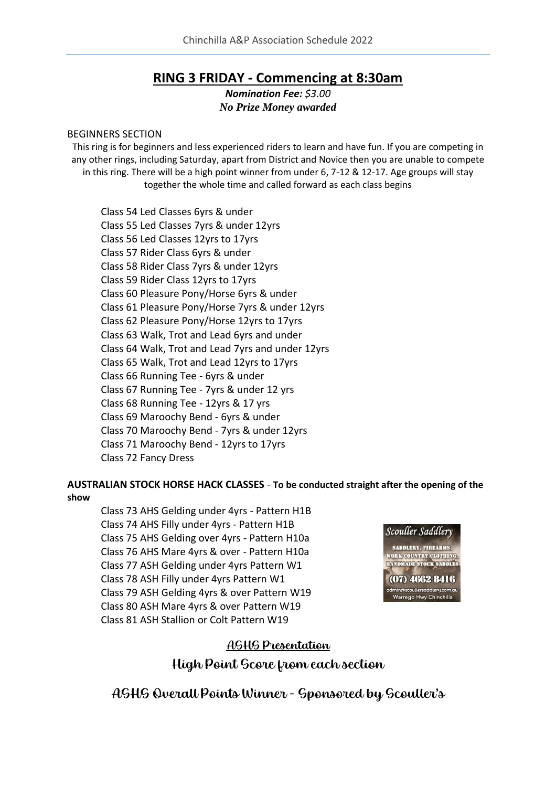## **RING 3 FRIDAY - Commencing at 8:30am**

*Nomination Fee: \$3.00 No Prize Money awarded*

#### BEGINNERS SECTION

This ring is for beginners and less experienced riders to learn and have fun. If you are competing in any other rings, including Saturday, apart from District and Novice then you are unable to compete in this ring. There will be a high point winner from under 6, 7-12 & 12-17. Age groups will stay together the whole time and called forward as each class begins

Class 54 Led Classes 6yrs & under Class 55 Led Classes 7yrs & under 12yrs Class 56 Led Classes 12yrs to 17yrs Class 57 Rider Class 6yrs & under Class 58 Rider Class 7yrs & under 12yrs Class 59 Rider Class 12yrs to 17yrs Class 60 Pleasure Pony/Horse 6yrs & under Class 61 Pleasure Pony/Horse 7yrs & under 12yrs Class 62 Pleasure Pony/Horse 12yrs to 17yrs Class 63 Walk, Trot and Lead 6yrs and under Class 64 Walk, Trot and Lead 7yrs and under 12yrs Class 65 Walk, Trot and Lead 12yrs to 17yrs Class 66 Running Tee - 6yrs & under Class 67 Running Tee - 7yrs & under 12 yrs Class 68 Running Tee - 12yrs & 17 yrs Class 69 Maroochy Bend - 6yrs & under Class 70 Maroochy Bend - 7yrs & under 12yrs Class 71 Maroochy Bend - 12yrs to 17yrs Class 72 Fancy Dress

**AUSTRALIAN STOCK HORSE HACK CLASSES** - **To be conducted straight after the opening of the show** 

Class 73 AHS Gelding under 4yrs - Pattern H1B Class 74 AHS Filly under 4yrs - Pattern H1B Class 75 AHS Gelding over 4yrs - Pattern H10a Class 76 AHS Mare 4yrs & over - Pattern H10a Class 77 ASH Gelding under 4yrs Pattern W1 Class 78 ASH Filly under 4yrs Pattern W1 Class 79 ASH Gelding 4yrs & over Pattern W19 Class 80 ASH Mare 4yrs & over Pattern W19 Class 81 ASH Stallion or Colt Pattern W19



## ASHS Presentation

High Point Score from each section

ASHS Overall Points Winner - Sponsored by Scouller's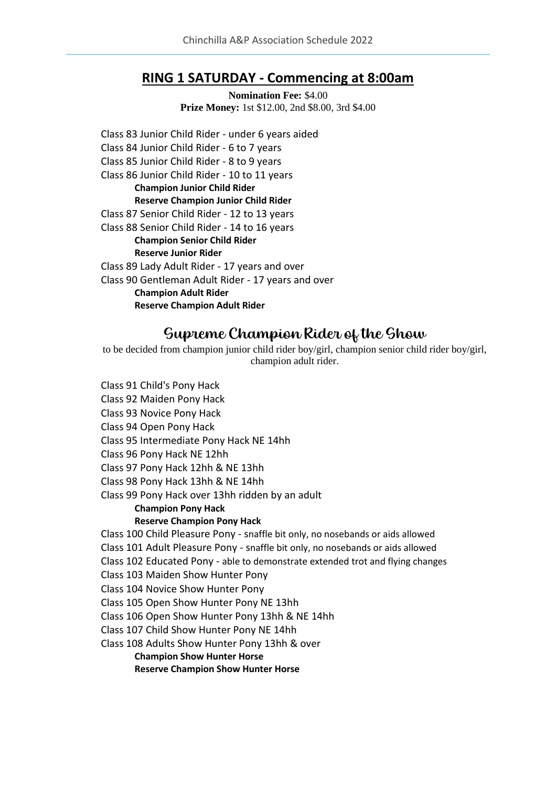## **RING 1 SATURDAY - Commencing at 8:00am**

**Nomination Fee:** \$4.00 **Prize Money:** 1st \$12.00, 2nd \$8.00, 3rd \$4.00

Class 83 Junior Child Rider - under 6 years aided Class 84 Junior Child Rider - 6 to 7 years Class 85 Junior Child Rider - 8 to 9 years Class 86 Junior Child Rider - 10 to 11 years **Champion Junior Child Rider Reserve Champion Junior Child Rider** Class 87 Senior Child Rider - 12 to 13 years Class 88 Senior Child Rider - 14 to 16 years **Champion Senior Child Rider Reserve Junior Rider** Class 89 Lady Adult Rider - 17 years and over Class 90 Gentleman Adult Rider - 17 years and over **Champion Adult Rider Reserve Champion Adult Rider**

## Supreme Champion Rider of the Show

to be decided from champion junior child rider boy/girl, champion senior child rider boy/girl, champion adult rider.

Class 91 Child's Pony Hack Class 92 Maiden Pony Hack Class 93 Novice Pony Hack Class 94 Open Pony Hack Class 95 Intermediate Pony Hack NE 14hh Class 96 Pony Hack NE 12hh Class 97 Pony Hack 12hh & NE 13hh Class 98 Pony Hack 13hh & NE 14hh Class 99 Pony Hack over 13hh ridden by an adult **Champion Pony Hack Reserve Champion Pony Hack** Class 100 Child Pleasure Pony - snaffle bit only, no nosebands or aids allowed Class 101 Adult Pleasure Pony - snaffle bit only, no nosebands or aids allowed Class 102 Educated Pony - able to demonstrate extended trot and flying changes Class 103 Maiden Show Hunter Pony Class 104 Novice Show Hunter Pony Class 105 Open Show Hunter Pony NE 13hh Class 106 Open Show Hunter Pony 13hh & NE 14hh Class 107 Child Show Hunter Pony NE 14hh Class 108 Adults Show Hunter Pony 13hh & over **Champion Show Hunter Horse Reserve Champion Show Hunter Horse**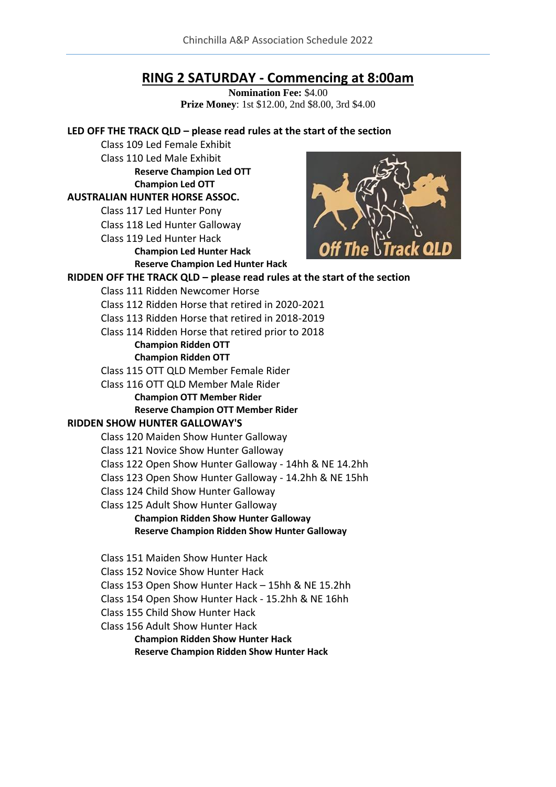## **RING 2 SATURDAY - Commencing at 8:00am**

**Nomination Fee:** \$4.00 **Prize Money**: 1st \$12.00, 2nd \$8.00, 3rd \$4.00

### **LED OFF THE TRACK QLD – please read rules at the start of the section**

Class 109 Led Female Exhibit Class 110 Led Male Exhibit **Reserve Champion Led OTT Champion Led OTT**

**AUSTRALIAN HUNTER HORSE ASSOC.**

Class 117 Led Hunter Pony

Class 118 Led Hunter Galloway

Class 119 Led Hunter Hack

**Champion Led Hunter Hack Reserve Champion Led Hunter Hack**



#### **RIDDEN OFF THE TRACK QLD – please read rules at the start of the section** Class 111 Ridden Newcomer Horse Class 112 Ridden Horse that retired in 2020-2021

Class 113 Ridden Horse that retired in 2018-2019

Class 114 Ridden Horse that retired prior to 2018

#### **Champion Ridden OTT Champion Ridden OTT**

Class 115 OTT QLD Member Female Rider

Class 116 OTT QLD Member Male Rider

**Champion OTT Member Rider**

## **Reserve Champion OTT Member Rider**

## **RIDDEN SHOW HUNTER GALLOWAY'S**

Class 120 Maiden Show Hunter Galloway

Class 121 Novice Show Hunter Galloway

Class 122 Open Show Hunter Galloway - 14hh & NE 14.2hh

Class 123 Open Show Hunter Galloway - 14.2hh & NE 15hh

- Class 124 Child Show Hunter Galloway
- Class 125 Adult Show Hunter Galloway

#### **Champion Ridden Show Hunter Galloway Reserve Champion Ridden Show Hunter Galloway**

- Class 151 Maiden Show Hunter Hack
- Class 152 Novice Show Hunter Hack

Class 153 Open Show Hunter Hack – 15hh & NE 15.2hh

Class 154 Open Show Hunter Hack - 15.2hh & NE 16hh

Class 155 Child Show Hunter Hack

Class 156 Adult Show Hunter Hack

**Champion Ridden Show Hunter Hack Reserve Champion Ridden Show Hunter Hack**